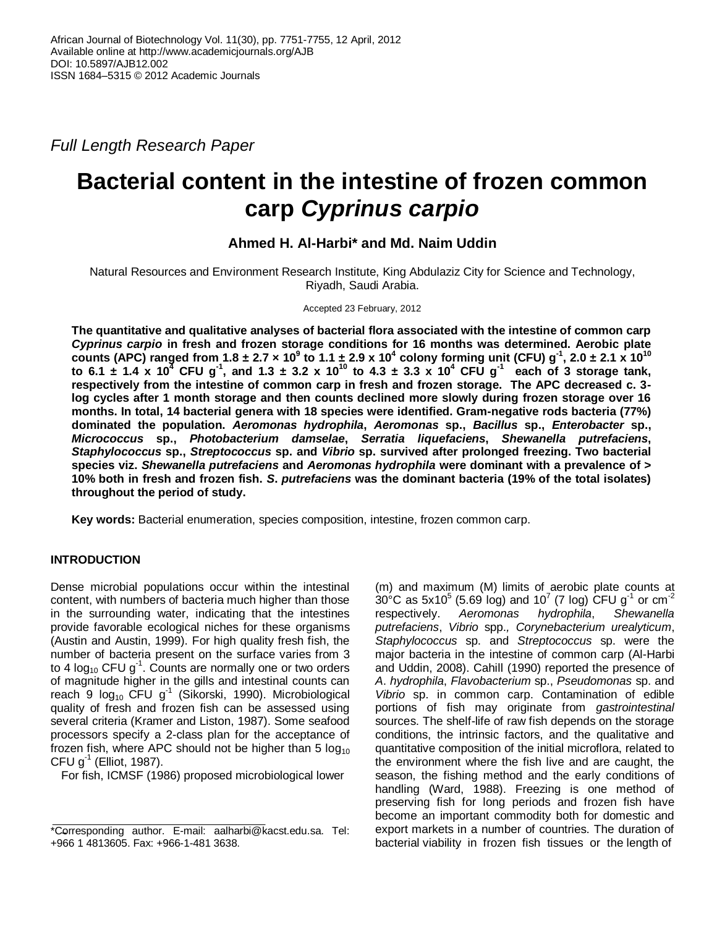*Full Length Research Paper*

# **Bacterial content in the intestine of frozen common carp** *Cyprinus carpio*

# **Ahmed H. Al-Harbi\* and Md. Naim Uddin**

Natural Resources and Environment Research Institute, King Abdulaziz City for Science and Technology, Riyadh, Saudi Arabia.

Accepted 23 February, 2012

**The quantitative and qualitative analyses of bacterial flora associated with the intestine of common carp**  *Cyprinus carpio* **in fresh and frozen storage conditions for 16 months was determined. Aerobic plate**  counts (APC) ranged from 1.8 ± 2.7 x 10<sup>9</sup> to 1.1 ± 2.9 x 10<sup>4</sup> colony forming unit (CFU) g<sup>-1</sup>, 2.0 ± 2.1 x 10<sup>10</sup> to 6.1  $\pm$  1.4  $\times$  10<sup>4</sup> CFU g<sup>-1</sup>, and 1.3  $\pm$  3.2  $\times$  10<sup>10</sup> to 4.3  $\pm$  3.3  $\times$  10<sup>4</sup> CFU g<sup>-1</sup> each of 3 storage tank, **respectively from the intestine of common carp in fresh and frozen storage. The APC decreased c. 3 log cycles after 1 month storage and then counts declined more slowly during frozen storage over 16 months. In total, 14 bacterial genera with 18 species were identified. Gram-negative rods bacteria (77%) dominated the population.** *Aeromonas hydrophila***,** *Aeromonas* **sp.,** *Bacillus* **sp.,** *Enterobacter* **sp.,**  *Micrococcus* **sp.,** *Photobacterium damselae***,** *Serratia liquefaciens***,** *Shewanella putrefaciens***,**  *Staphylococcus* **sp.,** *Streptococcus* **sp. and** *Vibrio* **sp. survived after prolonged freezing. Two bacterial species viz.** *Shewanella putrefaciens* **and** *Aeromonas hydrophila* **were dominant with a prevalence of > 10% both in fresh and frozen fish.** *S***.** *putrefaciens* **was the dominant bacteria (19% of the total isolates) throughout the period of study.** 

**Key words:** Bacterial enumeration, species composition, intestine, frozen common carp.

# **INTRODUCTION**

Dense microbial populations occur within the intestinal content, with numbers of bacteria much higher than those in the surrounding water, indicating that the intestines provide favorable ecological niches for these organisms (Austin and Austin, 1999). For high quality fresh fish, the number of bacteria present on the surface varies from 3 to 4 log<sub>10</sub> CFU g<sup>-1</sup>. Counts are normally one or two orders of magnitude higher in the gills and intestinal counts can reach 9  $log_{10}$  CFU g<sup>-1</sup> (Sikorski, 1990). Microbiological quality of fresh and frozen fish can be assessed using several criteria (Kramer and Liston, 1987). Some seafood processors specify a 2-class plan for the acceptance of frozen fish, where APC should not be higher than 5  $log_{10}$ CFU  $g^{-1}$  (Elliot, 1987).

For fish, ICMSF (1986) proposed microbiological lower

(m) and maximum (M) limits of aerobic plate counts at  $30^{\circ}$ C as 5x10<sup>5</sup> (5.69 log) and 10<sup>7</sup> (7 log) CFU g<sup>-1</sup> or cm<sup>-2</sup> respectively. *Aeromonas hydrophila*, *Shewanella putrefaciens*, *Vibrio* spp.*, Corynebacterium urealyticum*, *Staphylococcus* sp. and *Streptococcus* sp. were the major bacteria in the intestine of common carp (Al-Harbi and Uddin, 2008). Cahill (1990) reported the presence of *A*. *hydrophila*, *Flavobacterium* sp., *Pseudomonas* sp. and *Vibrio* sp. in common carp. Contamination of edible portions of fish may originate from *gastrointestinal* sources. The shelf-life of raw fish depends on the storage conditions, the intrinsic factors, and the qualitative and quantitative composition of the initial microflora, related to the environment where the fish live and are caught, the season, the fishing method and the early conditions of handling (Ward, 1988). Freezing is one method of preserving fish for long periods and frozen fish have become an important commodity both for domestic and export markets in a number of countries. The duration of bacterial viability in frozen fish tissues or the length of

<sup>\*</sup>Corresponding author. E-mail: aalharbi@kacst.edu.sa. Tel: +966 1 4813605. Fax: +966-1-481 3638.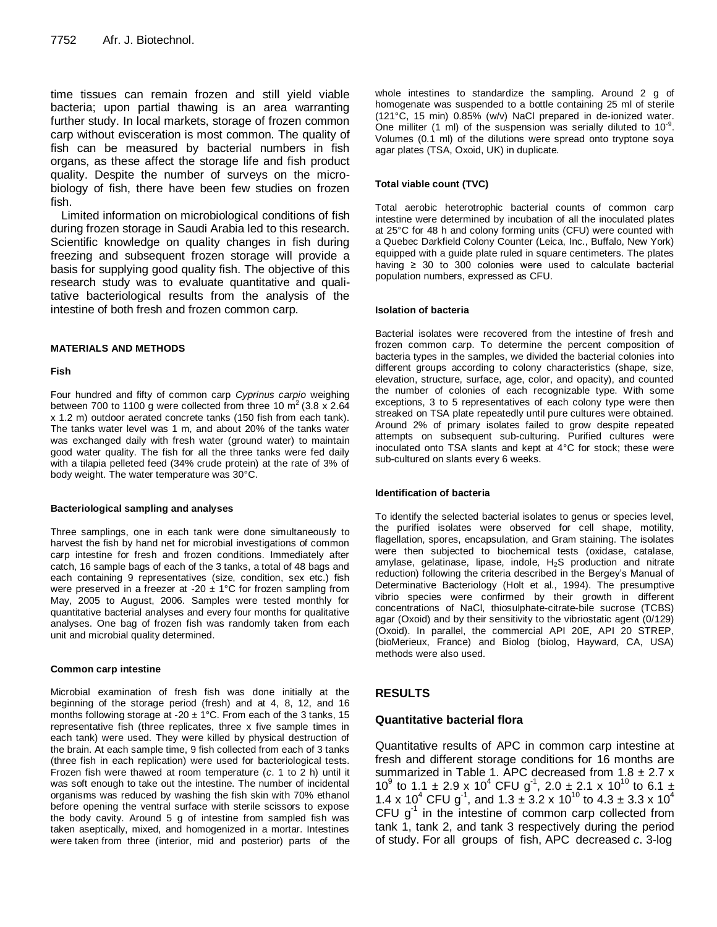time tissues can remain frozen and still yield viable bacteria; upon partial thawing is an area warranting further study. In local markets, storage of frozen common carp without evisceration is most common. The quality of fish can be measured by bacterial numbers in fish organs, as these affect the storage life and fish product quality. Despite the number of surveys on the microbiology of fish, there have been few studies on frozen fish.

Limited information on microbiological conditions of fish during frozen storage in Saudi Arabia led to this research. Scientific knowledge on quality changes in fish during freezing and subsequent frozen storage will provide a basis for supplying good quality fish. The objective of this research study was to evaluate quantitative and qualitative bacteriological results from the analysis of the intestine of both fresh and frozen common carp.

#### **MATERIALS AND METHODS**

#### **Fish**

Four hundred and fifty of common carp *Cyprinus carpio* weighing between 700 to 1100 g were collected from three 10  $m^2$  (3.8 x 2.64 x 1.2 m) outdoor aerated concrete tanks (150 fish from each tank). The tanks water level was 1 m, and about 20% of the tanks water was exchanged daily with fresh water (ground water) to maintain good water quality. The fish for all the three tanks were fed daily with a tilapia pelleted feed (34% crude protein) at the rate of 3% of body weight. The water temperature was 30°C.

#### **Bacteriological sampling and analyses**

Three samplings, one in each tank were done simultaneously to harvest the fish by hand net for microbial investigations of common carp intestine for fresh and frozen conditions. Immediately after catch, 16 sample bags of each of the 3 tanks, a total of 48 bags and each containing 9 representatives (size, condition, sex etc.) fish were preserved in a freezer at -20  $\pm$  1°C for frozen sampling from May, 2005 to August, 2006. Samples were tested monthly for quantitative bacterial analyses and every four months for qualitative analyses. One bag of frozen fish was randomly taken from each unit and microbial quality determined.

#### **Common carp intestine**

Microbial examination of fresh fish was done initially at the beginning of the storage period (fresh) and at 4, 8, 12, and 16 months following storage at -20  $\pm$  1°C. From each of the 3 tanks, 15 representative fish (three replicates, three x five sample times in each tank) were used. They were killed by physical destruction of the brain. At each sample time, 9 fish collected from each of 3 tanks (three fish in each replication) were used for bacteriological tests. Frozen fish were thawed at room temperature (*c*. 1 to 2 h) until it was soft enough to take out the intestine. The number of incidental organisms was reduced by washing the fish skin with 70% ethanol before opening the ventral surface with sterile scissors to expose the body cavity. Around 5 g of intestine from sampled fish was taken aseptically, mixed, and homogenized in a mortar. Intestines were taken from three (interior, mid and posterior) parts of the whole intestines to standardize the sampling. Around 2 g of homogenate was suspended to a bottle containing 25 ml of sterile (121°C, 15 min) 0.85% (w/v) NaCl prepared in de-ionized water. One milliter (1 ml) of the suspension was serially diluted to  $10^{-9}$ . Volumes (0.1 ml) of the dilutions were spread onto tryptone soya agar plates (TSA, Oxoid, UK) in duplicate.

#### **Total viable count (TVC)**

Total aerobic heterotrophic bacterial counts of common carp intestine were determined by incubation of all the inoculated plates at 25°C for 48 h and colony forming units (CFU) were counted with a Quebec Darkfield Colony Counter (Leica, Inc., Buffalo, New York) equipped with a guide plate ruled in square centimeters. The plates having  $\geq$  30 to 300 colonies were used to calculate bacterial population numbers, expressed as CFU.

#### **Isolation of bacteria**

Bacterial isolates were recovered from the intestine of fresh and frozen common carp. To determine the percent composition of bacteria types in the samples, we divided the bacterial colonies into different groups according to colony characteristics (shape, size, elevation, structure, surface, age, color, and opacity), and counted the number of colonies of each recognizable type. With some exceptions, 3 to 5 representatives of each colony type were then streaked on TSA plate repeatedly until pure cultures were obtained. Around 2% of primary isolates failed to grow despite repeated attempts on subsequent sub-culturing. Purified cultures were inoculated onto TSA slants and kept at 4°C for stock; these were sub-cultured on slants every 6 weeks.

#### **Identification of bacteria**

To identify the selected bacterial isolates to genus or species level, the purified isolates were observed for cell shape, motility, flagellation, spores, encapsulation, and Gram staining. The isolates were then subjected to biochemical tests (oxidase, catalase, amylase, gelatinase, lipase, indole,  $H_2S$  production and nitrate reduction) following the criteria described in the Bergey's Manual of Determinative Bacteriology (Holt et al., 1994). The presumptive vibrio species were confirmed by their growth in different concentrations of NaCl, thiosulphate-citrate-bile sucrose (TCBS) agar (Oxoid) and by their sensitivity to the vibriostatic agent (0/129) (Oxoid). In parallel, the commercial API 20E, API 20 STREP, (bioMerieux, France) and Biolog (biolog, Hayward, CA, USA) methods were also used.

# **RESULTS**

### **Quantitative bacterial flora**

Quantitative results of APC in common carp intestine at fresh and different storage conditions for 16 months are summarized in Table 1. APC decreased from  $1.8 \pm 2.7$  x 10<sup>9</sup> to 1.1 ± 2.9 x 10<sup>4</sup> CFU g<sup>-1</sup>, 2.0 ± 2.1 x 10<sup>10</sup> to 6.1 ± 1.4 x 10<sup>4</sup> CFU g<sup>-1</sup>, and 1.3  $\pm$  3.2 x 10<sup>10</sup> to 4.3  $\pm$  3.3 x 10<sup>4</sup> CFU  $g<sup>-1</sup>$  in the intestine of common carp collected from tank 1, tank 2, and tank 3 respectively during the period of study. For all groups of fish, APC decreased *c*. 3-log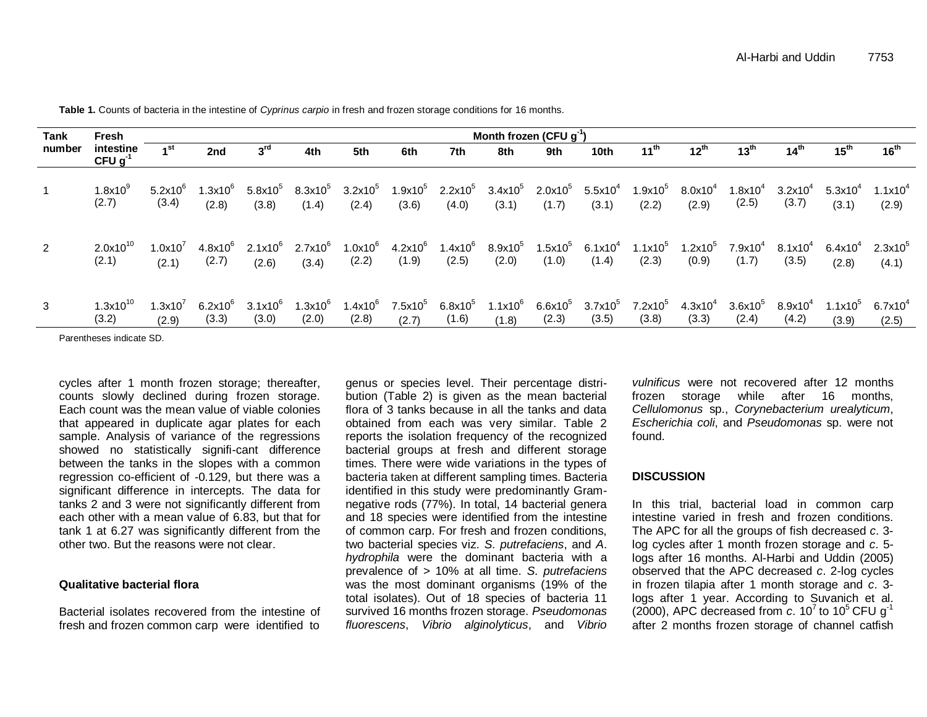| Tank<br>number | <b>Fresh</b>                | Month frozen (CFU $g^{-1}$ ) |                           |                         |                         |                         |                            |                                  |                           |                         |                         |                         |                              |                       |                       |                              |                     |
|----------------|-----------------------------|------------------------------|---------------------------|-------------------------|-------------------------|-------------------------|----------------------------|----------------------------------|---------------------------|-------------------------|-------------------------|-------------------------|------------------------------|-----------------------|-----------------------|------------------------------|---------------------|
|                | intestine<br>$CFU g^{-1}$   | 1 <sup>st</sup>              | 2nd                       | 3 <sup>rd</sup>         | 4th                     | 5th                     | 6th                        | 7th                              | 8th                       | 9th                     | 10th                    | $11^{th}$               | $12^{th}$                    | 13 <sup>th</sup>      | 14 <sup>th</sup>      | 15 <sup>th</sup>             | $16^{th}$           |
|                | $1.8\times10^{9}$<br>(2.7)  | $5.2x10^{6}$<br>(3.4)        | $1.3x10^{6}$<br>(2.8)     | $5.8$ x10 $^5$<br>(3.8) | $8.3$ x10 $^5$<br>(1.4) | $3.2$ x10 $^5$<br>(2.4) | 1.9x10 $^{\rm 5}$<br>(3.6) | 2.2x10 $^5$ 3.4x10 $^5$<br>(4.0) | (3.1)                     | $2.0$ x1 $0^5$<br>(1.7) | $5.5$ x10 $^4$<br>(3.1) | $1.9$ x $10^5$<br>(2.2) | $8.0x10^{4}$<br>(2.9)        | $1.8x10^{4}$<br>(2.5) | $3.2x10^{4}$<br>(3.7) | $5.3x10^{4}$<br>(3.1)        | $1.1x10^4$<br>(2.9) |
| $\overline{2}$ | $2.0x10^{10}$<br>(2.1)      | 1.0x10'<br>(2.1)             | $4.8x10^{\circ}$<br>(2.7) | $2.1x10^{6}$<br>(2.6)   | $2.7x10^6$<br>(3.4)     | $1.0x10^6$<br>(2.2)     | $4.2x10^{6}$<br>(1.9)      | $1.4$ x10 $^6$<br>(2.5)          | $8.9$ x10 $^5\,$<br>(2.0) | 1.5x10 $^5$<br>(1.0)    | $6.1x10^4$<br>(1.4)     | $1.1x10^5$<br>(2.3)     | 1.2x10 <sup>5</sup><br>(0.9) | $7.9x10^4$<br>(1.7)   | $8.1x10^{4}$<br>(3.5) | $6.4x10^{4}$<br>(2.8)        | $2.3x10^5$<br>(4.1) |
| 3              | 1.3x10 $^{\rm 10}$<br>(3.2) | 1.3x10'<br>(2.9)             | $6.2$ x10 $^6$<br>(3.3)   | $3.1x10^{6}$<br>(3.0)   | $1.3x10^{6}$<br>(2.0)   | $1.4x10^{6}$<br>(2.8)   | $7.5x10^5$<br>(2.7)        | $6.8x10^5$<br>(1.6)              | 1.1 $x10^6$<br>(1.8)      | $6.6$ x10 $^5$<br>(2.3) | $3.7$ x10 $^5$<br>(3.5) | $7.2$ x10 $^5$<br>(3.8) | $4.3x10^{4}$<br>(3.3)        | $3.6x10^5$<br>(2.4)   | $8.9x10^4$<br>(4.2)   | 1.1x10 <sup>5</sup><br>(3.9) | $6.7x10^4$<br>(2.5) |

**Table 1.** Counts of bacteria in the intestine of *Cyprinus carpio* in fresh and frozen storage conditions for 16 months.

Parentheses indicate SD.

cycles after 1 month frozen storage; thereafter, counts slowly declined during frozen storage. Each count was the mean value of viable colonies that appeared in duplicate agar plates for each sample. Analysis of variance of the regressions showed no statistically signifi-cant difference between the tanks in the slopes with a common regression co-efficient of -0.129, but there was a significant difference in intercepts. The data for tanks 2 and 3 were not significantly different from each other with a mean value of 6.83, but that for tank 1 at 6.27 was significantly different from the other two. But the reasons were not clear.

# **Qualitative bacterial flora**

Bacterial isolates recovered from the intestine of fresh and frozen common carp were identified to

genus or species level. Their percentage distribution (Table 2) is given as the mean bacterial flora of 3 tanks because in all the tanks and data obtained from each was very similar. Table 2 reports the isolation frequency of the recognized bacterial groups at fresh and different storage times. There were wide variations in the types of bacteria taken at different sampling times. Bacteria identified in this study were predominantly Gramnegative rods (77%). In total, 14 bacterial genera and 18 species were identified from the intestine of common carp. For fresh and frozen conditions, two bacterial species viz. *S*. *putrefaciens*, and *A*. *hydrophila* were the dominant bacteria with a prevalence of > 10% at all time. *S*. *putrefaciens* was the most dominant organisms (19% of the total isolates). Out of 18 species of bacteria 11 survived 16 months frozen storage. *Pseudomonas fluorescens*, *Vibrio alginolyticus*, and *Vibrio* 

*vulnificus* were not recovered after 12 months frozen storage while after 16 months, *Cellulomonus* sp., *Corynebacterium urealyticum*, *Escherichia coli*, and *Pseudomonas* sp. were not found.

## **DISCUSSION**

In this trial, bacterial load in common carp intestine varied in fresh and frozen conditions. The APC for all the groups of fish decreased *c*. 3 log cycles after 1 month frozen storage and *c*. 5 logs after 16 months. Al-Harbi and Uddin (2005) observed that the APC decreased *c*. 2-log cycles in frozen tilapia after 1 month storage and *c*. 3 logs after 1 year. According to Suvanich et al. (2000), APC decreased from  $\overline{c}$ . 10<sup>7</sup> to 10<sup>5</sup> CFU g<sup>-1</sup> after 2 months frozen storage of channel catfish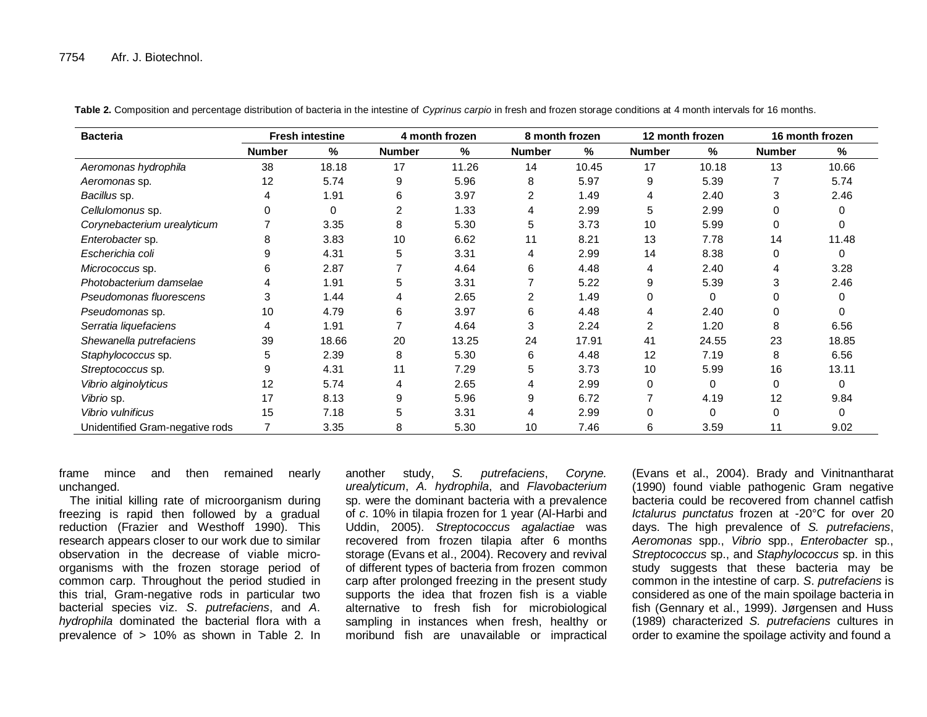| <b>Bacteria</b>                 | <b>Fresh intestine</b> |       | 4 month frozen |       | 8 month frozen |       | 12 month frozen |          | 16 month frozen |       |
|---------------------------------|------------------------|-------|----------------|-------|----------------|-------|-----------------|----------|-----------------|-------|
|                                 | <b>Number</b>          | %     | <b>Number</b>  | %     | <b>Number</b>  | %     | <b>Number</b>   | %        | <b>Number</b>   | %     |
| Aeromonas hydrophila            | 38                     | 18.18 | 17             | 11.26 | 14             | 10.45 | 17              | 10.18    | 13              | 10.66 |
| Aeromonas sp.                   | 12                     | 5.74  | 9              | 5.96  | 8              | 5.97  | 9               | 5.39     |                 | 5.74  |
| Bacillus sp.                    | 4                      | 1.91  | 6              | 3.97  | 2              | 1.49  |                 | 2.40     | 3               | 2.46  |
| Cellulomonus sp.                | 0                      | 0     | 2              | 1.33  | 4              | 2.99  | 5               | 2.99     | 0               |       |
| Corynebacterium urealyticum     |                        | 3.35  | 8              | 5.30  | 5              | 3.73  | 10              | 5.99     | 0               |       |
| Enterobacter sp.                | 8                      | 3.83  | 10             | 6.62  | 11             | 8.21  | 13              | 7.78     | 14              | 11.48 |
| Escherichia coli                | 9                      | 4.31  | 5              | 3.31  | 4              | 2.99  | 14              | 8.38     | 0               | 0     |
| Micrococcus sp.                 | 6                      | 2.87  |                | 4.64  | 6              | 4.48  | 4               | 2.40     | 4               | 3.28  |
| Photobacterium damselae         |                        | 1.91  | 5              | 3.31  |                | 5.22  | 9               | 5.39     | 3               | 2.46  |
| Pseudomonas fluorescens         | 3                      | 1.44  | 4              | 2.65  |                | 1.49  | 0               | $\Omega$ | 0               |       |
| Pseudomonas sp.                 | 10                     | 4.79  | 6              | 3.97  | 6              | 4.48  |                 | 2.40     | 0               |       |
| Serratia liquefaciens           | 4                      | 1.91  |                | 4.64  | 3              | 2.24  | $\overline{2}$  | 1.20     | 8               | 6.56  |
| Shewanella putrefaciens         | 39                     | 18.66 | 20             | 13.25 | 24             | 17.91 | 41              | 24.55    | 23              | 18.85 |
| Staphylococcus sp.              | 5                      | 2.39  | 8              | 5.30  | 6              | 4.48  | 12              | 7.19     | 8               | 6.56  |
| Streptococcus sp.               | 9                      | 4.31  | 11             | 7.29  | 5              | 3.73  | 10              | 5.99     | 16              | 13.11 |
| Vibrio alginolyticus            | 12                     | 5.74  | 4              | 2.65  | 4              | 2.99  | 0               | $\Omega$ | 0               |       |
| Vibrio sp.                      | 17                     | 8.13  | 9              | 5.96  | 9              | 6.72  |                 | 4.19     | 12              | 9.84  |
| Vibrio vulnificus               | 15                     | 7.18  | 5              | 3.31  |                | 2.99  |                 | $\Omega$ | 0               |       |
| Unidentified Gram-negative rods | 7                      | 3.35  | 8              | 5.30  | 10             | 7.46  | 6               | 3.59     | 11              | 9.02  |

**Table 2.** Composition and percentage distribution of bacteria in the intestine of *Cyprinus carpio* in fresh and frozen storage conditions at 4 month intervals for 16 months.

frame mince and then remained nearly unchanged.

The initial killing rate of microorganism during freezing is rapid then followed by a gradual reduction (Frazier and Westhoff 1990). This research appears closer to our work due to similar observation in the decrease of viable microorganisms with the frozen storage period of common carp. Throughout the period studied in this trial, Gram-negative rods in particular two bacterial species viz. *S*. *putrefaciens*, and *A*. *hydrophila* dominated the bacterial flora with a prevalence of > 10% as shown in Table 2. In

another study, *S. putrefaciens*, *Coryne. urealyticum*, *A. hydrophila*, and *Flavobacterium*  sp. were the dominant bacteria with a prevalence of *c*. 10% in tilapia frozen for 1 year (Al-Harbi and Uddin, 2005). *Streptococcus agalactiae* was recovered from frozen tilapia after 6 months storage (Evans et al., 2004). Recovery and revival of different types of bacteria from frozen common carp after prolonged freezing in the present study supports the idea that frozen fish is a viable alternative to fresh fish for microbiological sampling in instances when fresh, healthy or moribund fish are unavailable or impractical

(Evans et al., 2004). Brady and Vinitnantharat (1990) found viable pathogenic Gram negative bacteria could be recovered from channel catfish *Ictalurus punctatus* frozen at -20°C for over 20 days. The high prevalence of *S. putrefaciens*, *Aeromonas* spp., *Vibrio* spp., *Enterobacter* sp., *Streptococcus* sp., and *Staphylococcus* sp. in this study suggests that these bacteria may be common in the intestine of carp. *S*. *putrefaciens* is considered as one of the main spoilage bacteria in fish (Gennary et al., 1999). Jørgensen and Huss (1989) characterized *S. putrefaciens* cultures in order to examine the spoilage activity and found a